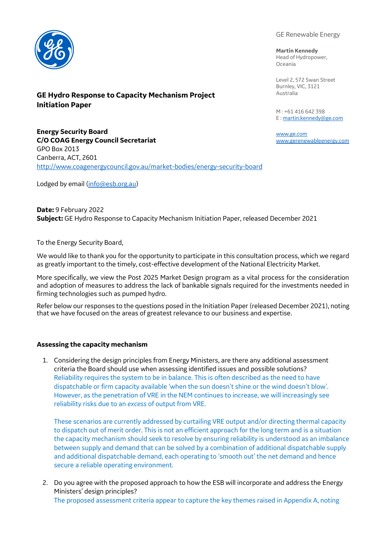

# **GE Hydro Response to Capacity Mechanism Project Initiation Paper**

GE Renewable Energy

**Martin Kennedy**

Head of Hydropower, Oceania

Level 2, 572 Swan Street Burnley, VIC, 3121 Australia

M : +61 416 642 398 E [: martin.kennedy@ge.com](mailto:martin.kennedy@ge.com)

[www.ge.com](http://www.ge.com/) [www.gerenewableenergy.com](http://www.gerenewableenergy.com/)

**Energy Security Board C/O COAG Energy Council Secretariat** GPO Box 2013 Canberra, ACT, 2601 <http://www.coagenergycouncil.gov.au/market-bodies/energy-security-board>

Lodged by email [\(info@esb.org.au\)](mailto:info@esb.org.au)

**Date:** 9 February 2022 **Subject:** GE Hydro Response to Capacity Mechanism Initiation Paper, released December 2021

To the Energy Security Board,

We would like to thank you for the opportunity to participate in this consultation process, which we regard as greatly important to the timely, cost-effective development of the National Electricity Market.

More specifically, we view the Post 2025 Market Design program as a vital process for the consideration and adoption of measures to address the lack of bankable signals required for the investments needed in firming technologies such as pumped hydro.

Refer below our responses to the questions posed in the Initiation Paper (released December 2021), noting that we have focused on the areas of greatest relevance to our business and expertise.

# **Assessing the capacity mechanism**

1. Considering the design principles from Energy Ministers, are there any additional assessment criteria the Board should use when assessing identified issues and possible solutions? Reliability requires the system to be in balance. This is often described as the need to have dispatchable or firm capacity available 'when the sun doesn't shine or the wind doesn't blow'. However, as the penetration of VRE in the NEM continues to increase, we will increasingly see reliability risks due to an *excess* of output from VRE.

These scenarios are currently addressed by curtailing VRE output and/or directing thermal capacity to dispatch out of merit order. This is not an efficient approach for the long term and is a situation the capacity mechanism should seek to resolve by ensuring reliability is understood as an imbalance between supply and demand that can be solved by a combination of additional dispatchable supply and additional dispatchable demand, each operating to 'smooth out' the net demand and hence secure a reliable operating environment.

2. Do you agree with the proposed approach to how the ESB will incorporate and address the Energy Ministers' design principles? The proposed assessment criteria appear to capture the key themes raised in Appendix A, noting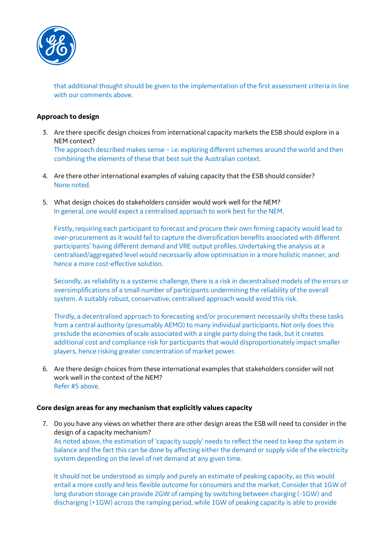

that additional thought should be given to the implementation of the first assessment criteria in line with our comments above.

### **Approach to design**

3. Are there specific design choices from international capacity markets the ESB should explore in a NEM context?

The approach described makes sense – i.e. exploring different schemes around the world and then combining the elements of these that best suit the Australian context.

- 4. Are there other international examples of valuing capacity that the ESB should consider? None noted.
- 5. What design choices do stakeholders consider would work well for the NEM? In general, one would expect a centralised approach to work best for the NEM.

Firstly, requiring each participant to forecast and procure their own firming capacity would lead to over-procurement as it would fail to capture the diversification benefits associated with different participants' having different demand and VRE output profiles. Undertaking the analysis at a centralised/aggregated level would necessarily allow optimisation in a more holistic manner, and hence a more cost-effective solution.

Secondly, as reliability is a systemic challenge, there is a risk in decentralised models of the errors or oversimplifications of a small number of participants undermining the reliability of the overall system. A suitably robust, conservative, centralised approach would avoid this risk.

Thirdly, a decentralised approach to forecasting and/or procurement necessarily shifts these tasks from a central authority (presumably AEMO) to many individual participants. Not only does this preclude the economies of scale associated with a single party doing the task, but it creates additional cost and compliance risk for participants that would disproportionately impact smaller players, hence risking greater concentration of market power.

6. Are there design choices from these international examples that stakeholders consider will not work well in the context of the NEM? Refer #5 above.

#### **Core design areas for any mechanism that explicitly values capacity**

7. Do you have any views on whether there are other design areas the ESB will need to consider in the design of a capacity mechanism?

As noted above, the estimation of 'capacity supply' needs to reflect the need to keep the system in balance and the fact this can be done by affecting either the demand or supply side of the electricity system depending on the level of net demand at any given time.

It should not be understood as simply and purely an estimate of peaking capacity, as this would entail a more costly and less flexible outcome for consumers and the market. Consider that 1GW of long duration storage can provide 2GW of ramping by switching between charging (-1GW) and discharging (+1GW) across the ramping period, while 1GW of peaking capacity is able to provide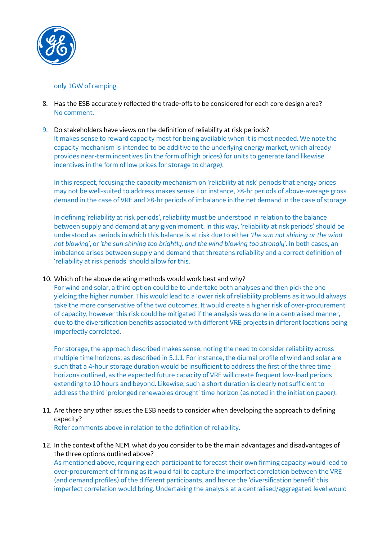

# only 1GW of ramping.

- 8. Has the ESB accurately reflected the trade-offs to be considered for each core design area? No comment.
- 9. Do stakeholders have views on the definition of reliability at risk periods? It makes sense to reward capacity most for being available when it is most needed. We note the capacity mechanism is intended to be additive to the underlying energy market, which already provides near-term incentives (in the form of high prices) for units to generate (and likewise incentives in the form of low prices for storage to charge).

In this respect, focusing the capacity mechanism on 'reliability at risk' periods that energy prices may not be well-suited to address makes sense. For instance, >8-hr periods of above-average gross demand in the case of VRE and >8-hr periods of imbalance in the net demand in the case of storage.

In defining 'reliability at risk periods', reliability must be understood in relation to the balance between supply and demand at any given moment. In this way, 'reliability at risk periods' should be understood as periods in which this balance is at risk due to either *'the sun not shining or the wind not blowing'*, or *'the sun shining too brightly, and the wind blowing too strongly'*. In both cases, an imbalance arises between supply and demand that threatens reliability and a correct definition of 'reliability at risk periods' should allow for this.

# 10. Which of the above derating methods would work best and why?

For wind and solar, a third option could be to undertake both analyses and then pick the one yielding the higher number. This would lead to a lower risk of reliability problems as it would always take the more conservative of the two outcomes. It would create a higher risk of over-procurement of capacity, however this risk could be mitigated if the analysis was done in a centralised manner, due to the diversification benefits associated with different VRE projects in different locations being imperfectly correlated.

For storage, the approach described makes sense, noting the need to consider reliability across multiple time horizons, as described in 5.1.1. For instance, the diurnal profile of wind and solar are such that a 4-hour storage duration would be insufficient to address the first of the three time horizons outlined, as the expected future capacity of VRE will create frequent low-load periods extending to 10 hours and beyond. Likewise, such a short duration is clearly not sufficient to address the third 'prolonged renewables drought' time horizon (as noted in the initiation paper).

11. Are there any other issues the ESB needs to consider when developing the approach to defining capacity?

Refer comments above in relation to the definition of reliability.

12. In the context of the NEM, what do you consider to be the main advantages and disadvantages of the three options outlined above?

As mentioned above, requiring each participant to forecast their own firming capacity would lead to over-procurement of firming as it would fail to capture the imperfect correlation between the VRE (and demand profiles) of the different participants, and hence the 'diversification benefit' this imperfect correlation would bring. Undertaking the analysis at a centralised/aggregated level would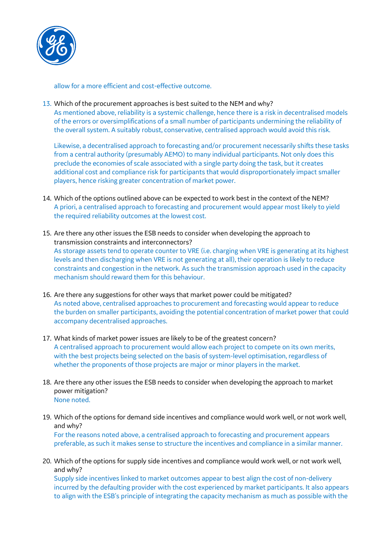

allow for a more efficient and cost-effective outcome.

13. Which of the procurement approaches is best suited to the NEM and why? As mentioned above, reliability is a systemic challenge, hence there is a risk in decentralised models of the errors or oversimplifications of a small number of participants undermining the reliability of the overall system. A suitably robust, conservative, centralised approach would avoid this risk.

Likewise, a decentralised approach to forecasting and/or procurement necessarily shifts these tasks from a central authority (presumably AEMO) to many individual participants. Not only does this preclude the economies of scale associated with a single party doing the task, but it creates additional cost and compliance risk for participants that would disproportionately impact smaller players, hence risking greater concentration of market power.

- 14. Which of the options outlined above can be expected to work best in the context of the NEM? A priori, a centralised approach to forecasting and procurement would appear most likely to yield the required reliability outcomes at the lowest cost.
- 15. Are there any other issues the ESB needs to consider when developing the approach to transmission constraints and interconnectors? As storage assets tend to operate counter to VRE (i.e. charging when VRE is generating at its highest levels and then discharging when VRE is not generating at all), their operation is likely to reduce constraints and congestion in the network. As such the transmission approach used in the capacity mechanism should reward them for this behaviour.
- 16. Are there any suggestions for other ways that market power could be mitigated? As noted above, centralised approaches to procurement and forecasting would appear to reduce the burden on smaller participants, avoiding the potential concentration of market power that could accompany decentralised approaches.
- 17. What kinds of market power issues are likely to be of the greatest concern? A centralised approach to procurement would allow each project to compete on its own merits, with the best projects being selected on the basis of system-level optimisation, regardless of whether the proponents of those projects are major or minor players in the market.
- 18. Are there any other issues the ESB needs to consider when developing the approach to market power mitigation? None noted.
- 19. Which of the options for demand side incentives and compliance would work well, or not work well, and why? For the reasons noted above, a centralised approach to forecasting and procurement appears preferable, as such it makes sense to structure the incentives and compliance in a similar manner.
- 20. Which of the options for supply side incentives and compliance would work well, or not work well, and why? Supply side incentives linked to market outcomes appear to best align the cost of non-delivery incurred by the defaulting provider with the cost experienced by market participants. It also appears to align with the ESB's principle of integrating the capacity mechanism as much as possible with the